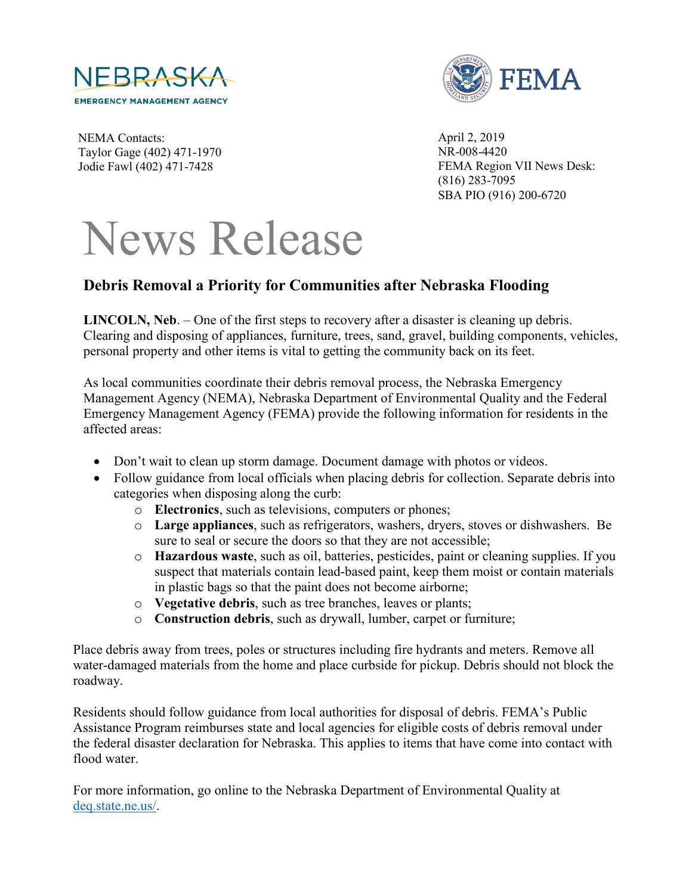



NEMA Contacts: Taylor Gage (402) 471-1970 Jodie Fawl (402) 471-7428

April 2, 2019 NR-008-4420 FEMA Region VII News Desk: (816) 283-7095 SBA PIO (916) 200-6720

## News Release

## **Debris Removal a Priority for Communities after Nebraska Flooding**

**LINCOLN, Neb**. – One of the first steps to recovery after a disaster is cleaning up debris. Clearing and disposing of appliances, furniture, trees, sand, gravel, building components, vehicles, personal property and other items is vital to getting the community back on its feet.

As local communities coordinate their debris removal process, the Nebraska Emergency Management Agency (NEMA), Nebraska Department of Environmental Quality and the Federal Emergency Management Agency (FEMA) provide the following information for residents in the affected areas:

- Don't wait to clean up storm damage. Document damage with photos or videos.
- Follow guidance from local officials when placing debris for collection. Separate debris into categories when disposing along the curb:
	- o **Electronics**, such as televisions, computers or phones;
	- o **Large appliances**, such as refrigerators, washers, dryers, stoves or dishwashers. Be sure to seal or secure the doors so that they are not accessible;
	- o **Hazardous waste**, such as oil, batteries, pesticides, paint or cleaning supplies. If you suspect that materials contain lead-based paint, keep them moist or contain materials in plastic bags so that the paint does not become airborne;
	- o **Vegetative debris**, such as tree branches, leaves or plants;
	- o **Construction debris**, such as drywall, lumber, carpet or furniture;

Place debris away from trees, poles or structures including fire hydrants and meters. Remove all water-damaged materials from the home and place curbside for pickup. Debris should not block the roadway.

Residents should follow guidance from local authorities for disposal of debris. FEMA's Public Assistance Program reimburses state and local agencies for eligible costs of debris removal under the federal disaster declaration for Nebraska. This applies to items that have come into contact with flood water.

For more information, go online to the Nebraska Department of Environmental Quality at [deq.state.ne.us/.](http://www.deq.state.ne.us/)